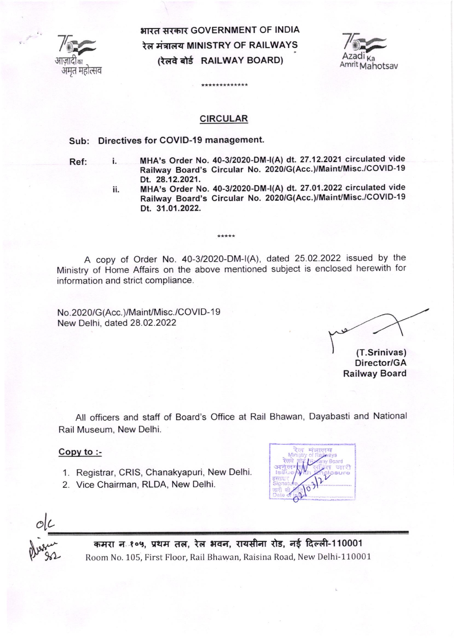

भारत सरकार GOVERNMENT OF INDIA रेल मंत्रालय MINISTRY OF RAILWAYS (रेलवे बोर्ड RAILWAY BOARD)



# CIRCULAR

\*\*\*\*\*\*\*\*\*\*

## Sub: Directives for COVID-19 management.

Ref: i.

- MHA's Order No. 40-3/2020-DM-|(A) dt. 27.12.2021 circulated vide Railway Board's Circular No. 2020/G(Acc.)/Maint/Misc./COVID-19 Dt. 28.12.2021.
- MHA's Order No. 40-3/2020-DM-|(A) dt. 27.O1.2022 circulated vide Railway Board's Circular No. 2020/G(Acc.)/MainUMisc./COVID-19 Dt. 31.01.2022. ii.

A copy of Order No. 40-3/2020-DM-I(A), dated 25.02.2022 issued by the Ministry of Home Affairs on the above mentioned subject is enclosed herewith for information and strict compliance.

 $+ + + + +$ 

No.2020/G(Acc.)/Maint/Misc./COVID-19 New Delhi, dated 28.02.2022

(T.Srinivas) Director/GA Railway Board

All officers and staff of Board's Office at Rail Bhawan, Dayabasti and National Rail Museum, New Delhi.

### Copy to :-

- 1. Registrar, CRIS, Chanakyapuri, New Delhi.
- 2. Vice Chairman, RLDA, New Delhi.

 $\sqrt{v}$ o

olL

Pleasure

कमरा न १०५, प्रथम तल, रेल भवन, रायसीना रोड, नई दिल्ली-110001 Room No. 105, First Floor, Rail Bhawan, Raisina Road, New Delhi-110001